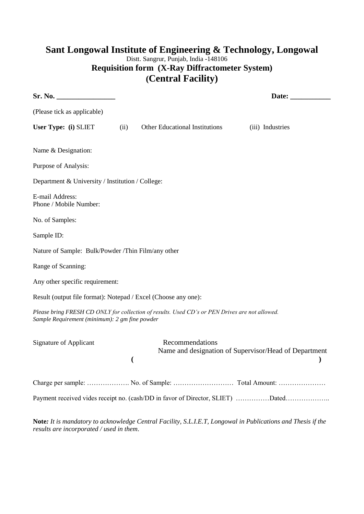## **Sant Longowal Institute of Engineering & Technology, Longowal** Distt. Sangrur, Punjab, India -148106 **Requisition form (X-Ray Diffractometer System) (Central Facility)**

| Sr. No.                                                        |      |                                                                                                              | Date: $\_\_$                                          |
|----------------------------------------------------------------|------|--------------------------------------------------------------------------------------------------------------|-------------------------------------------------------|
| (Please tick as applicable)                                    |      |                                                                                                              |                                                       |
| User Type: (i) SLIET                                           | (ii) | Other Educational Institutions                                                                               | (iii) Industries                                      |
| Name & Designation:                                            |      |                                                                                                              |                                                       |
| Purpose of Analysis:                                           |      |                                                                                                              |                                                       |
| Department & University / Institution / College:               |      |                                                                                                              |                                                       |
| E-mail Address:<br>Phone / Mobile Number:                      |      |                                                                                                              |                                                       |
| No. of Samples:                                                |      |                                                                                                              |                                                       |
| Sample ID:                                                     |      |                                                                                                              |                                                       |
| Nature of Sample: Bulk/Powder /Thin Film/any other             |      |                                                                                                              |                                                       |
| Range of Scanning:                                             |      |                                                                                                              |                                                       |
| Any other specific requirement:                                |      |                                                                                                              |                                                       |
| Result (output file format): Notepad / Excel (Choose any one): |      |                                                                                                              |                                                       |
| Sample Requirement (minimum): 2 gm fine powder                 |      | Please bring FRESH CD ONLY for collection of results. Used CD's or PEN Drives are not allowed.               |                                                       |
| <b>Signature of Applicant</b>                                  | (    | Recommendations                                                                                              | Name and designation of Supervisor/Head of Department |
|                                                                |      |                                                                                                              |                                                       |
|                                                                |      | Payment received vides receipt no. (cash/DD in favor of Director, SLIET) Dated                               |                                                       |
|                                                                |      | Note: It is mandatory to acknowledge Central Facility, S.L.I.E.T, Longowal in Publications and Thesis if the |                                                       |

*results are incorporated / used in them*.